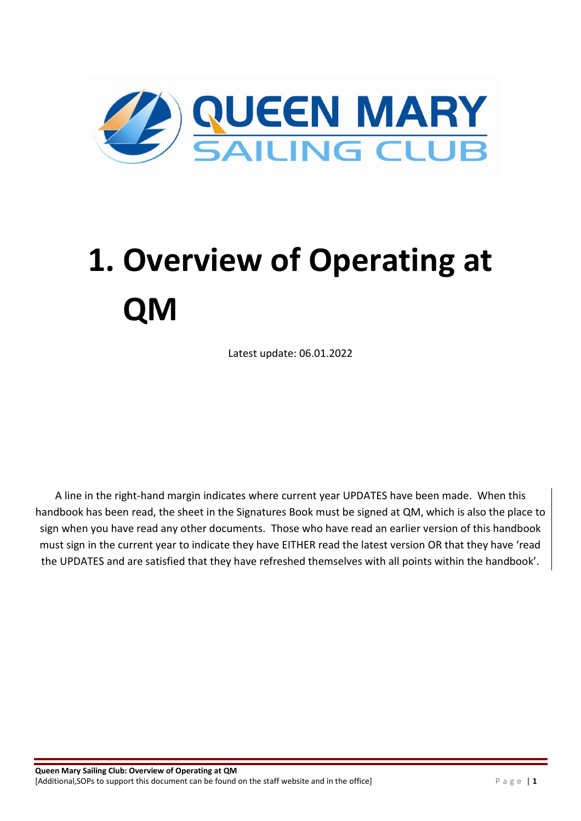

# **1. Overview of Operating at QM**

Latest update: 06.01.2022

A line in the right-hand margin indicates where current year UPDATES have been made. When this handbook has been read, the sheet in the Signatures Book must be signed at QM, which is also the place to sign when you have read any other documents. Those who have read an earlier version of this handbook must sign in the current year to indicate they have EITHER read the latest version OR that they have 'read the UPDATES and are satisfied that they have refreshed themselves with all points within the handbook'.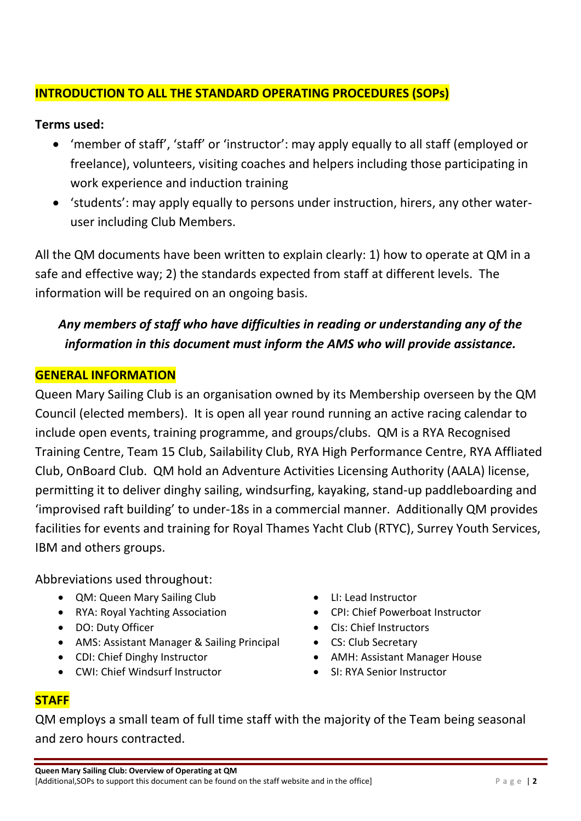#### **INTRODUCTION TO ALL THE STANDARD OPERATING PROCEDURES (SOPs)**

#### **Terms used:**

- 'member of staff', 'staff' or 'instructor': may apply equally to all staff (employed or freelance), volunteers, visiting coaches and helpers including those participating in work experience and induction training
- 'students': may apply equally to persons under instruction, hirers, any other wateruser including Club Members.

All the QM documents have been written to explain clearly: 1) how to operate at QM in a safe and effective way; 2) the standards expected from staff at different levels. The information will be required on an ongoing basis.

### *Any members of staff who have difficulties in reading or understanding any of the information in this document must inform the AMS who will provide assistance.*

#### **GENERAL INFORMATION**

Queen Mary Sailing Club is an organisation owned by its Membership overseen by the QM Council (elected members). It is open all year round running an active racing calendar to include open events, training programme, and groups/clubs. QM is a RYA Recognised Training Centre, Team 15 Club, Sailability Club, RYA High Performance Centre, RYA Affliated Club, OnBoard Club. QM hold an Adventure Activities Licensing Authority (AALA) license, permitting it to deliver dinghy sailing, windsurfing, kayaking, stand-up paddleboarding and 'improvised raft building' to under-18s in a commercial manner. Additionally QM provides facilities for events and training for Royal Thames Yacht Club (RTYC), Surrey Youth Services, IBM and others groups.

Abbreviations used throughout:

- QM: Queen Mary Sailing Club
- RYA: Royal Yachting Association
- DO: Duty Officer
- AMS: Assistant Manager & Sailing Principal
- CDI: Chief Dinghy Instructor
- CWI: Chief Windsurf Instructor
- LI: Lead Instructor
- CPI: Chief Powerboat Instructor
- CIs: Chief Instructors
- CS: Club Secretary
- AMH: Assistant Manager House
- SI: RYA Senior Instructor

#### **STAFF**

QM employs a small team of full time staff with the majority of the Team being seasonal and zero hours contracted.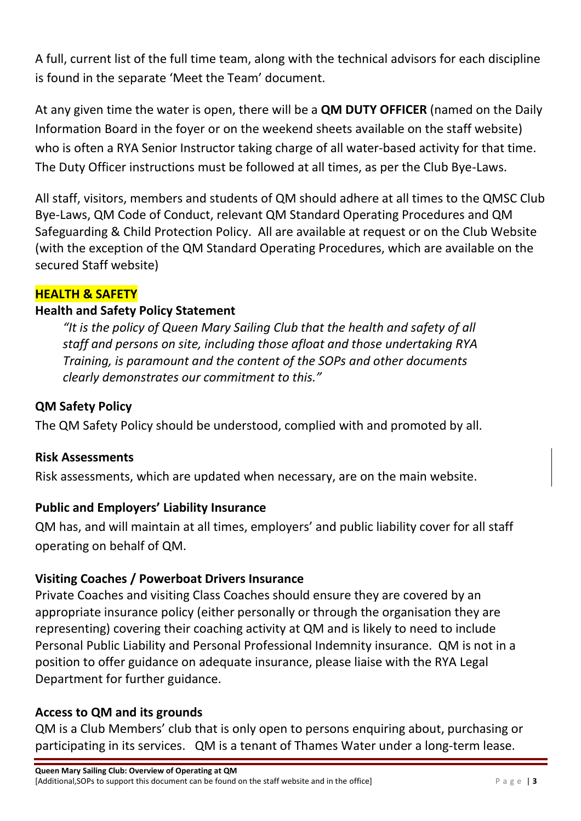A full, current list of the full time team, along with the technical advisors for each discipline is found in the separate 'Meet the Team' document.

At any given time the water is open, there will be a **QM DUTY OFFICER** (named on the Daily Information Board in the foyer or on the weekend sheets available on the staff website) who is often a RYA Senior Instructor taking charge of all water-based activity for that time. The Duty Officer instructions must be followed at all times, as per the Club Bye-Laws.

All staff, visitors, members and students of QM should adhere at all times to the QMSC Club Bye-Laws, QM Code of Conduct, relevant QM Standard Operating Procedures and QM Safeguarding & Child Protection Policy. All are available at request or on the Club Website (with the exception of the QM Standard Operating Procedures, which are available on the secured Staff website)

#### **HEALTH & SAFETY**

#### **Health and Safety Policy Statement**

*"It is the policy of Queen Mary Sailing Club that the health and safety of all staff and persons on site, including those afloat and those undertaking RYA Training, is paramount and the content of the SOPs and other documents clearly demonstrates our commitment to this."*

#### **QM Safety Policy**

The QM Safety Policy should be understood, complied with and promoted by all.

#### **Risk Assessments**

Risk assessments, which are updated when necessary, are on the main website.

#### **Public and Employers' Liability Insurance**

QM has, and will maintain at all times, employers' and public liability cover for all staff operating on behalf of QM.

#### **Visiting Coaches / Powerboat Drivers Insurance**

Private Coaches and visiting Class Coaches should ensure they are covered by an appropriate insurance policy (either personally or through the organisation they are representing) covering their coaching activity at QM and is likely to need to include Personal Public Liability and Personal Professional Indemnity insurance. QM is not in a position to offer guidance on adequate insurance, please liaise with the RYA Legal Department for further guidance.

#### **Access to QM and its grounds**

QM is a Club Members' club that is only open to persons enquiring about, purchasing or participating in its services. QM is a tenant of Thames Water under a long-term lease.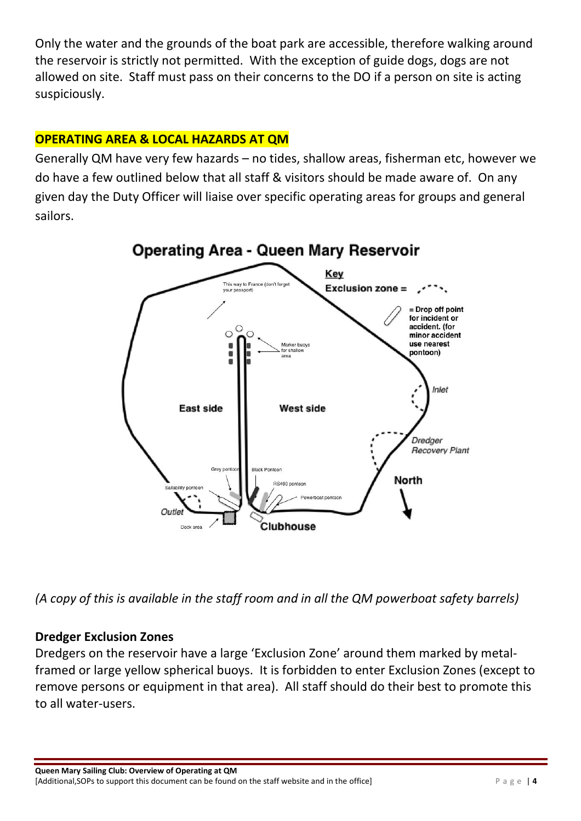Only the water and the grounds of the boat park are accessible, therefore walking around the reservoir is strictly not permitted. With the exception of guide dogs, dogs are not allowed on site. Staff must pass on their concerns to the DO if a person on site is acting suspiciously.

#### **OPERATING AREA & LOCAL HAZARDS AT QM**

Generally QM have very few hazards – no tides, shallow areas, fisherman etc, however we do have a few outlined below that all staff & visitors should be made aware of. On any given day the Duty Officer will liaise over specific operating areas for groups and general sailors.



*(A copy of this is available in the staff room and in all the QM powerboat safety barrels)*

#### **Dredger Exclusion Zones**

Dredgers on the reservoir have a large 'Exclusion Zone' around them marked by metalframed or large yellow spherical buoys. It is forbidden to enter Exclusion Zones (except to remove persons or equipment in that area). All staff should do their best to promote this to all water-users.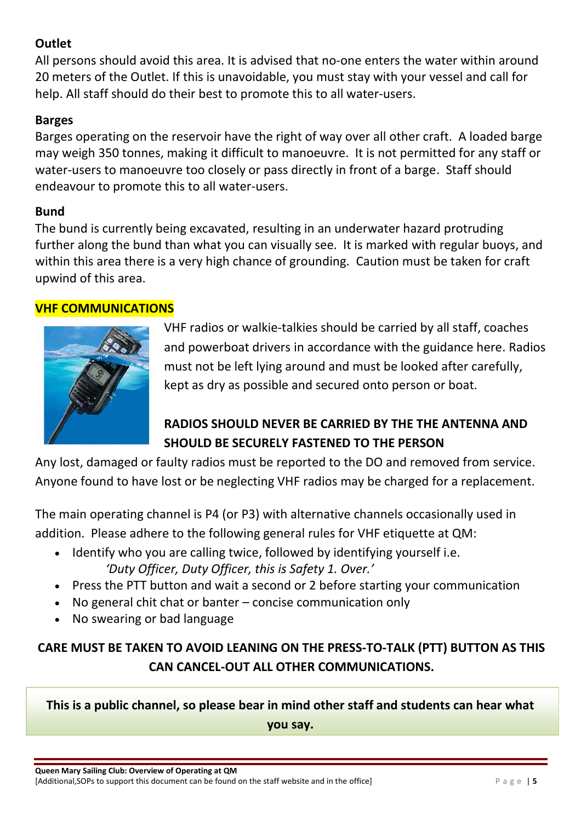#### **Outlet**

All persons should avoid this area. It is advised that no-one enters the water within around 20 meters of the Outlet. If this is unavoidable, you must stay with your vessel and call for help. All staff should do their best to promote this to all water-users.

#### **Barges**

Barges operating on the reservoir have the right of way over all other craft. A loaded barge may weigh 350 tonnes, making it difficult to manoeuvre. It is not permitted for any staff or water-users to manoeuvre too closely or pass directly in front of a barge. Staff should endeavour to promote this to all water-users.

#### **Bund**

The bund is currently being excavated, resulting in an underwater hazard protruding further along the bund than what you can visually see. It is marked with regular buoys, and within this area there is a very high chance of grounding. Caution must be taken for craft upwind of this area.

#### **VHF COMMUNICATIONS**



VHF radios or walkie-talkies should be carried by all staff, coaches and powerboat drivers in accordance with the guidance here. Radios must not be left lying around and must be looked after carefully, kept as dry as possible and secured onto person or boat.

# **RADIOS SHOULD NEVER BE CARRIED BY THE THE ANTENNA AND SHOULD BE SECURELY FASTENED TO THE PERSON**

Any lost, damaged or faulty radios must be reported to the DO and removed from service. Anyone found to have lost or be neglecting VHF radios may be charged for a replacement.

The main operating channel is P4 (or P3) with alternative channels occasionally used in addition. Please adhere to the following general rules for VHF etiquette at QM:

- Identify who you are calling twice, followed by identifying yourself i.e. *'Duty Officer, Duty Officer, this is Safety 1. Over.'*
- Press the PTT button and wait a second or 2 before starting your communication
- No general chit chat or banter concise communication only
- No swearing or bad language

# **CARE MUST BE TAKEN TO AVOID LEANING ON THE PRESS-TO-TALK (PTT) BUTTON AS THIS CAN CANCEL-OUT ALL OTHER COMMUNICATIONS.**

**This is a public channel, so please bear in mind other staff and students can hear what** 

**you say.**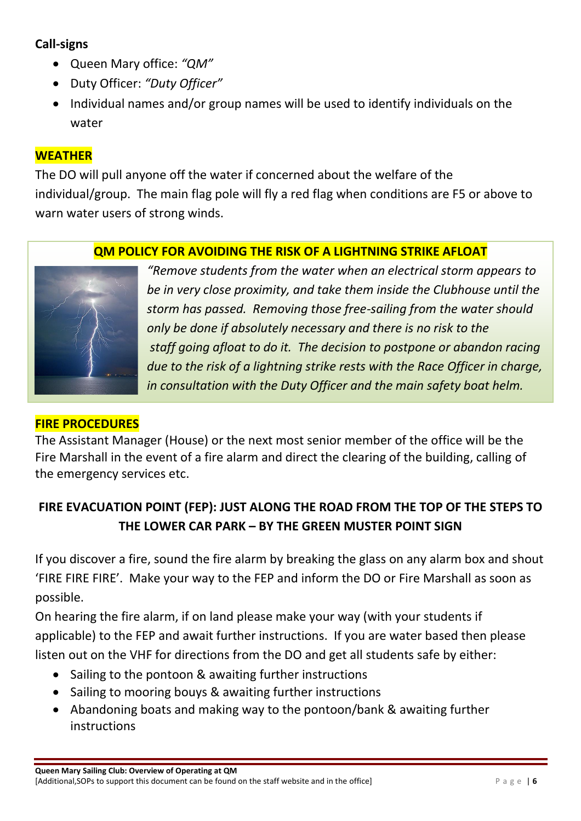#### **Call-signs**

- Queen Mary office: *"QM"*
- Duty Officer: *"Duty Officer"*
- Individual names and/or group names will be used to identify individuals on the water

#### **WEATHER**

The DO will pull anyone off the water if concerned about the welfare of the individual/group. The main flag pole will fly a red flag when conditions are F5 or above to warn water users of strong winds.

#### **QM POLICY FOR AVOIDING THE RISK OF A LIGHTNING STRIKE AFLOAT**



*"Remove students from the water when an electrical storm appears to be in very close proximity, and take them inside the Clubhouse until the storm has passed. Removing those free-sailing from the water should only be done if absolutely necessary and there is no risk to the staff going afloat to do it. The decision to postpone or abandon racing due to the risk of a lightning strike rests with the Race Officer in charge, in consultation with the Duty Officer and the main safety boat helm.*

#### **FIRE PROCEDURES**

The Assistant Manager (House) or the next most senior member of the office will be the Fire Marshall in the event of a fire alarm and direct the clearing of the building, calling of the emergency services etc.

# **FIRE EVACUATION POINT (FEP): JUST ALONG THE ROAD FROM THE TOP OF THE STEPS TO THE LOWER CAR PARK – BY THE GREEN MUSTER POINT SIGN**

If you discover a fire, sound the fire alarm by breaking the glass on any alarm box and shout 'FIRE FIRE FIRE'. Make your way to the FEP and inform the DO or Fire Marshall as soon as possible.

On hearing the fire alarm, if on land please make your way (with your students if applicable) to the FEP and await further instructions. If you are water based then please listen out on the VHF for directions from the DO and get all students safe by either:

- Sailing to the pontoon & awaiting further instructions
- Sailing to mooring bouys & awaiting further instructions
- Abandoning boats and making way to the pontoon/bank & awaiting further instructions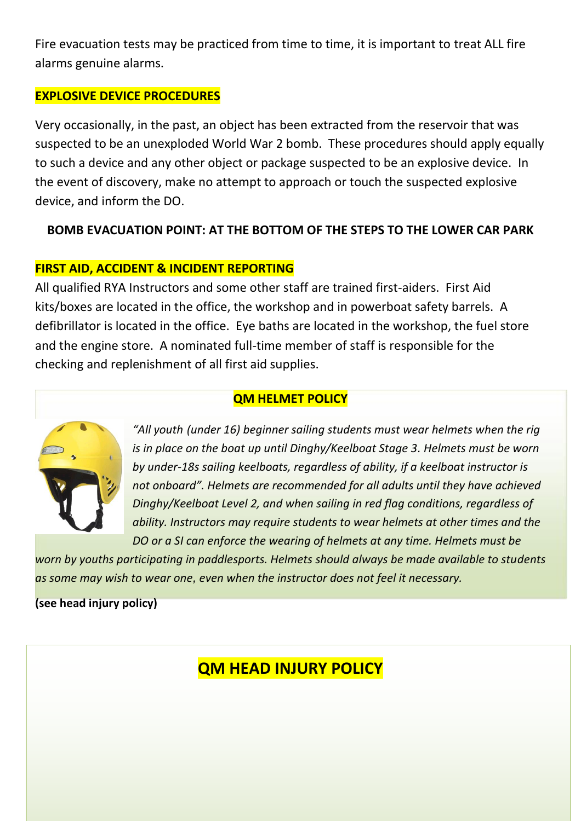Fire evacuation tests may be practiced from time to time, it is important to treat ALL fire alarms genuine alarms.

#### **EXPLOSIVE DEVICE PROCEDURES**

Very occasionally, in the past, an object has been extracted from the reservoir that was suspected to be an unexploded World War 2 bomb. These procedures should apply equally to such a device and any other object or package suspected to be an explosive device. In the event of discovery, make no attempt to approach or touch the suspected explosive device, and inform the DO.

#### **BOMB EVACUATION POINT: AT THE BOTTOM OF THE STEPS TO THE LOWER CAR PARK**

#### **FIRST AID, ACCIDENT & INCIDENT REPORTING**

All qualified RYA Instructors and some other staff are trained first-aiders. First Aid kits/boxes are located in the office, the workshop and in powerboat safety barrels. A defibrillator is located in the office. Eye baths are located in the workshop, the fuel store and the engine store. A nominated full-time member of staff is responsible for the checking and replenishment of all first aid supplies.

#### **QM HELMET POLICY**



*"All youth (under 16) beginner sailing students must wear helmets when the rig is in place on the boat up until Dinghy/Keelboat Stage 3. Helmets must be worn by under-18s sailing keelboats, regardless of ability, if a keelboat instructor is not onboard". Helmets are recommended for all adults until they have achieved Dinghy/Keelboat Level 2, and when sailing in red flag conditions, regardless of ability. Instructors may require students to wear helmets at other times and the DO or a SI can enforce the wearing of helmets at any time. Helmets must be* 

*worn by youths participating in paddlesports. Helmets should always be made available to students as some may wish to wear one, even when the instructor does not feel it necessary.*

**(see head injury policy)**

# **QM HEAD INJURY POLICY**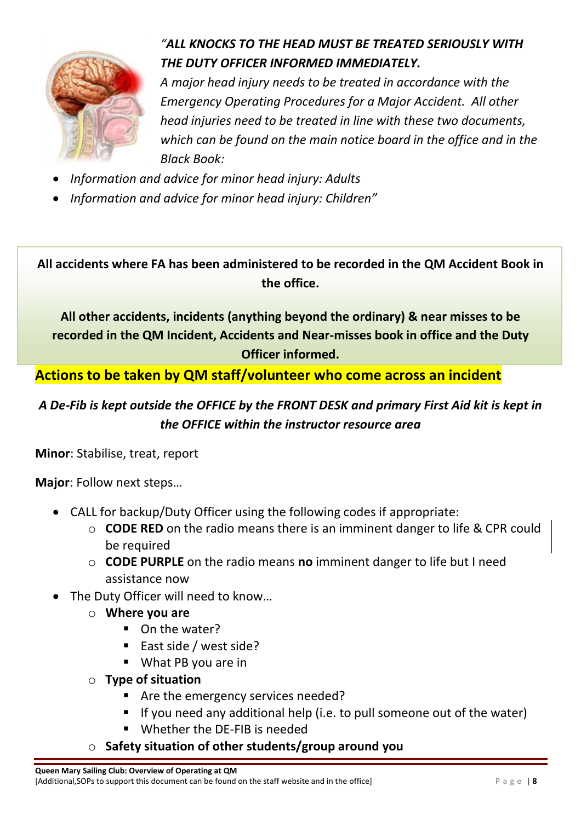

# *"ALL KNOCKS TO THE HEAD MUST BE TREATED SERIOUSLY WITH THE DUTY OFFICER INFORMED IMMEDIATELY.*

*A major head injury needs to be treated in accordance with the Emergency Operating Procedures for a Major Accident. All other head injuries need to be treated in line with these two documents, which can be found on the main notice board in the office and in the Black Book:*

- *Information and advice for minor head injury: Adults*
- *Information and advice for minor head injury: Children"*

**All accidents where FA has been administered to be recorded in the QM Accident Book in the office.**

**All other accidents, incidents (anything beyond the ordinary) & near misses to be recorded in the QM Incident, Accidents and Near-misses book in office and the Duty Officer informed.**

**Actions to be taken by QM staff/volunteer who come across an incident**

# *A De-Fib is kept outside the OFFICE by the FRONT DESK and primary First Aid kit is kept in the OFFICE within the instructor resource area*

**Minor**: Stabilise, treat, report

**Major**: Follow next steps…

- CALL for backup/Duty Officer using the following codes if appropriate:
	- o **CODE RED** on the radio means there is an imminent danger to life & CPR could be required
	- o **CODE PURPLE** on the radio means **no** imminent danger to life but I need assistance now
- The Duty Officer will need to know...
	- o **Where you are**
		- On the water?
		- East side / west side?
		- What PB you are in
	- o **Type of situation**
		- Are the emergency services needed?
		- **I** If you need any additional help (i.e. to pull someone out of the water)
		- Whether the DE-FIB is needed
	- o **Safety situation of other students/group around you**